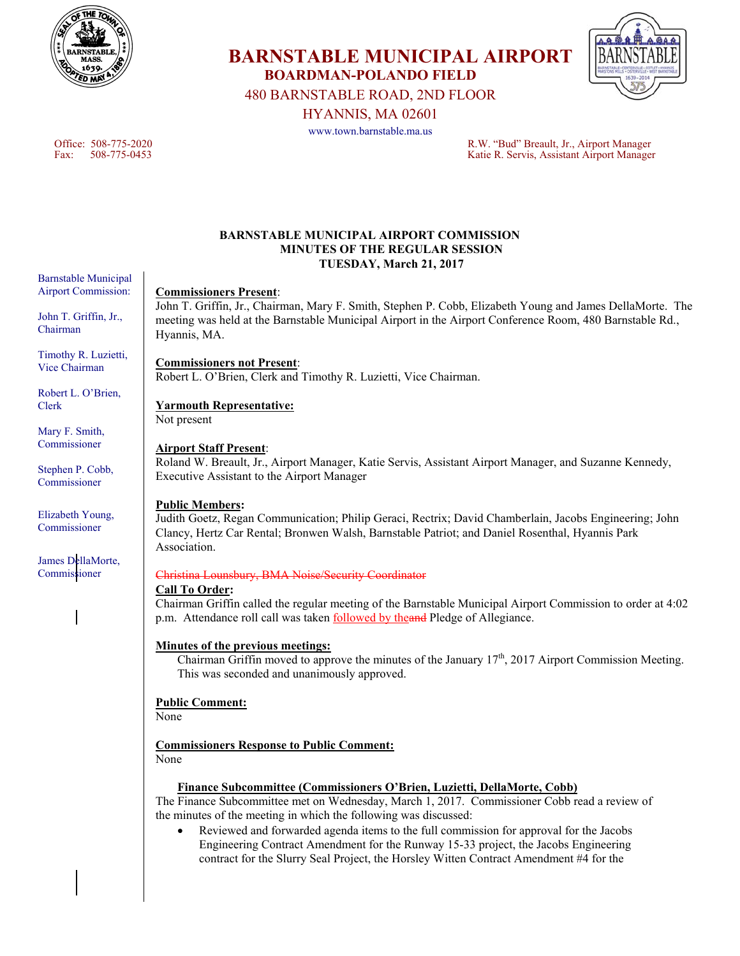

**BARNSTABLE MUNICIPAL AIRPORT BOARDMAN-POLANDO FIELD** 

480 BARNSTABLE ROAD, 2ND FLOOR

HYANNIS, MA 02601

www.town.barnstable.ma.us

Office: 508-775-2020 R.W. "Bud" Breault, Jr., Airport Manager Katie R. Servis, Assistant Airport Manager

### **BARNSTABLE MUNICIPAL AIRPORT COMMISSION MINUTES OF THE REGULAR SESSION TUESDAY, March 21, 2017**

### **Commissioners Present**:

John T. Griffin, Jr., Chairman, Mary F. Smith, Stephen P. Cobb, Elizabeth Young and James DellaMorte. The meeting was held at the Barnstable Municipal Airport in the Airport Conference Room, 480 Barnstable Rd., Hyannis, MA.

### **Commissioners not Present**:

Robert L. O'Brien, Clerk and Timothy R. Luzietti, Vice Chairman.

### **Yarmouth Representative:**

Not present

### **Airport Staff Present**:

Roland W. Breault, Jr., Airport Manager, Katie Servis, Assistant Airport Manager, and Suzanne Kennedy, Executive Assistant to the Airport Manager

## **Public Members:**

Judith Goetz, Regan Communication; Philip Geraci, Rectrix; David Chamberlain, Jacobs Engineering; John Clancy, Hertz Car Rental; Bronwen Walsh, Barnstable Patriot; and Daniel Rosenthal, Hyannis Park Association.

#### Christina Lounsbury, BMA Noise/Security Coordinator

#### **Call To Order:**

Chairman Griffin called the regular meeting of the Barnstable Municipal Airport Commission to order at 4:02 p.m. Attendance roll call was taken **followed by theand Pledge of Allegiance**.

#### **Minutes of the previous meetings:**

Chairman Griffin moved to approve the minutes of the January  $17<sup>th</sup>$ , 2017 Airport Commission Meeting. This was seconded and unanimously approved.

#### **Public Comment:**

None

# **Commissioners Response to Public Comment:**

None

#### **Finance Subcommittee (Commissioners O'Brien, Luzietti, DellaMorte, Cobb)**

The Finance Subcommittee met on Wednesday, March 1, 2017. Commissioner Cobb read a review of the minutes of the meeting in which the following was discussed:

 Reviewed and forwarded agenda items to the full commission for approval for the Jacobs Engineering Contract Amendment for the Runway 15-33 project, the Jacobs Engineering contract for the Slurry Seal Project, the Horsley Witten Contract Amendment #4 for the

Barnstable Municipal Airport Commission:

John T. Griffin, Jr., Chairman

Timothy R. Luzietti, Vice Chairman

Robert L. O'Brien, Clerk

Mary F. Smith, Commissioner

Stephen P. Cobb, Commissioner

Elizabeth Young, Commissioner

James DellaMorte, Commissioner

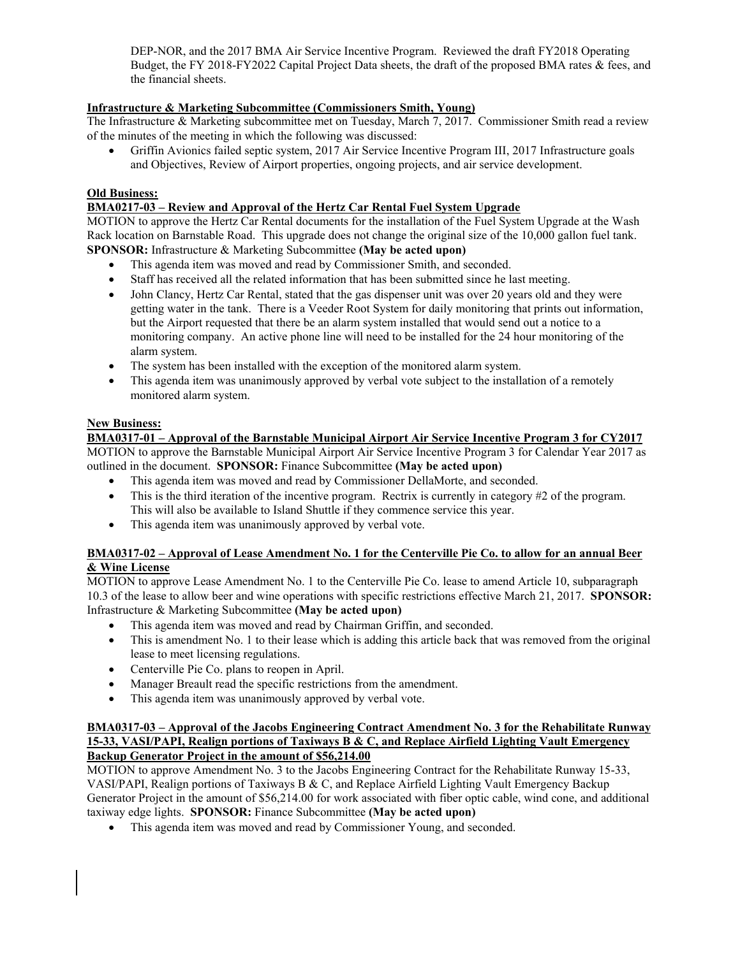DEP-NOR, and the 2017 BMA Air Service Incentive Program. Reviewed the draft FY2018 Operating Budget, the FY 2018-FY2022 Capital Project Data sheets, the draft of the proposed BMA rates & fees, and the financial sheets.

### **Infrastructure & Marketing Subcommittee (Commissioners Smith, Young)**

The Infrastructure & Marketing subcommittee met on Tuesday, March 7, 2017. Commissioner Smith read a review of the minutes of the meeting in which the following was discussed:

 Griffin Avionics failed septic system, 2017 Air Service Incentive Program III, 2017 Infrastructure goals and Objectives, Review of Airport properties, ongoing projects, and air service development.

#### **Old Business:**

#### **BMA0217-03 – Review and Approval of the Hertz Car Rental Fuel System Upgrade**

MOTION to approve the Hertz Car Rental documents for the installation of the Fuel System Upgrade at the Wash Rack location on Barnstable Road. This upgrade does not change the original size of the 10,000 gallon fuel tank. **SPONSOR:** Infrastructure & Marketing Subcommittee **(May be acted upon)**

- This agenda item was moved and read by Commissioner Smith, and seconded.
- Staff has received all the related information that has been submitted since he last meeting.
- John Clancy, Hertz Car Rental, stated that the gas dispenser unit was over 20 years old and they were getting water in the tank. There is a Veeder Root System for daily monitoring that prints out information, but the Airport requested that there be an alarm system installed that would send out a notice to a monitoring company. An active phone line will need to be installed for the 24 hour monitoring of the alarm system.
- The system has been installed with the exception of the monitored alarm system.
- This agenda item was unanimously approved by verbal vote subject to the installation of a remotely monitored alarm system.

#### **New Business:**

**BMA0317-01 – Approval of the Barnstable Municipal Airport Air Service Incentive Program 3 for CY2017**  MOTION to approve the Barnstable Municipal Airport Air Service Incentive Program 3 for Calendar Year 2017 as outlined in the document. **SPONSOR:** Finance Subcommittee **(May be acted upon)**

- This agenda item was moved and read by Commissioner DellaMorte, and seconded.
- This is the third iteration of the incentive program. Rectrix is currently in category #2 of the program. This will also be available to Island Shuttle if they commence service this year.
- This agenda item was unanimously approved by verbal vote.

#### **BMA0317-02 – Approval of Lease Amendment No. 1 for the Centerville Pie Co. to allow for an annual Beer & Wine License**

MOTION to approve Lease Amendment No. 1 to the Centerville Pie Co. lease to amend Article 10, subparagraph 10.3 of the lease to allow beer and wine operations with specific restrictions effective March 21, 2017. **SPONSOR:** Infrastructure & Marketing Subcommittee **(May be acted upon)** 

- This agenda item was moved and read by Chairman Griffin, and seconded.
- This is amendment No. 1 to their lease which is adding this article back that was removed from the original lease to meet licensing regulations.
- Centerville Pie Co. plans to reopen in April.
- Manager Breault read the specific restrictions from the amendment.
- This agenda item was unanimously approved by verbal vote.

#### **BMA0317-03 – Approval of the Jacobs Engineering Contract Amendment No. 3 for the Rehabilitate Runway 15-33, VASI/PAPI, Realign portions of Taxiways B & C, and Replace Airfield Lighting Vault Emergency Backup Generator Project in the amount of \$56,214.00**

MOTION to approve Amendment No. 3 to the Jacobs Engineering Contract for the Rehabilitate Runway 15-33, VASI/PAPI, Realign portions of Taxiways B & C, and Replace Airfield Lighting Vault Emergency Backup Generator Project in the amount of \$56,214.00 for work associated with fiber optic cable, wind cone, and additional taxiway edge lights. **SPONSOR:** Finance Subcommittee **(May be acted upon)** 

This agenda item was moved and read by Commissioner Young, and seconded.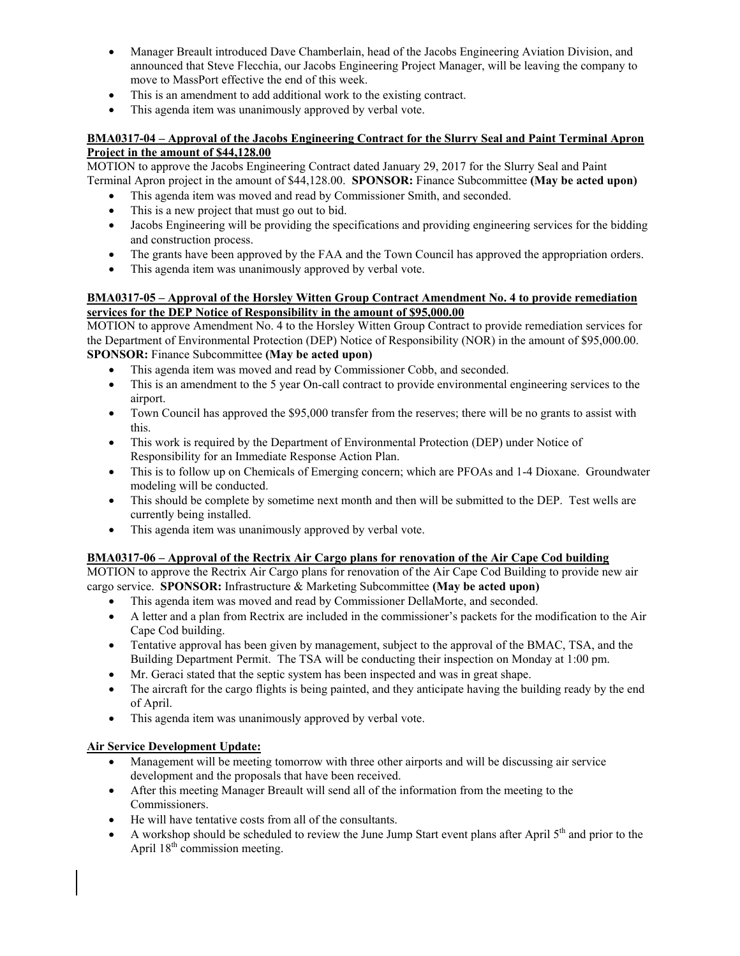- Manager Breault introduced Dave Chamberlain, head of the Jacobs Engineering Aviation Division, and announced that Steve Flecchia, our Jacobs Engineering Project Manager, will be leaving the company to move to MassPort effective the end of this week.
- This is an amendment to add additional work to the existing contract.
- This agenda item was unanimously approved by verbal vote.

#### **BMA0317-04 – Approval of the Jacobs Engineering Contract for the Slurry Seal and Paint Terminal Apron Project in the amount of \$44,128.00**

MOTION to approve the Jacobs Engineering Contract dated January 29, 2017 for the Slurry Seal and Paint Terminal Apron project in the amount of \$44,128.00. **SPONSOR:** Finance Subcommittee **(May be acted upon)** 

- This agenda item was moved and read by Commissioner Smith, and seconded.
- This is a new project that must go out to bid.
- Jacobs Engineering will be providing the specifications and providing engineering services for the bidding and construction process.
- The grants have been approved by the FAA and the Town Council has approved the appropriation orders.
- This agenda item was unanimously approved by verbal vote.

### **BMA0317-05 – Approval of the Horsley Witten Group Contract Amendment No. 4 to provide remediation services for the DEP Notice of Responsibility in the amount of \$95,000.00**

MOTION to approve Amendment No. 4 to the Horsley Witten Group Contract to provide remediation services for the Department of Environmental Protection (DEP) Notice of Responsibility (NOR) in the amount of \$95,000.00. **SPONSOR:** Finance Subcommittee **(May be acted upon)**

- This agenda item was moved and read by Commissioner Cobb, and seconded.
- This is an amendment to the 5 year On-call contract to provide environmental engineering services to the airport.
- Town Council has approved the \$95,000 transfer from the reserves; there will be no grants to assist with this.
- This work is required by the Department of Environmental Protection (DEP) under Notice of Responsibility for an Immediate Response Action Plan.
- This is to follow up on Chemicals of Emerging concern; which are PFOAs and 1-4 Dioxane. Groundwater modeling will be conducted.
- This should be complete by sometime next month and then will be submitted to the DEP. Test wells are currently being installed.
- This agenda item was unanimously approved by verbal vote.

## **BMA0317-06 – Approval of the Rectrix Air Cargo plans for renovation of the Air Cape Cod building**

MOTION to approve the Rectrix Air Cargo plans for renovation of the Air Cape Cod Building to provide new air cargo service. **SPONSOR:** Infrastructure & Marketing Subcommittee **(May be acted upon)**

- This agenda item was moved and read by Commissioner DellaMorte, and seconded.
- A letter and a plan from Rectrix are included in the commissioner's packets for the modification to the Air Cape Cod building.
- Tentative approval has been given by management, subject to the approval of the BMAC, TSA, and the Building Department Permit. The TSA will be conducting their inspection on Monday at 1:00 pm.
- Mr. Geraci stated that the septic system has been inspected and was in great shape.
- The aircraft for the cargo flights is being painted, and they anticipate having the building ready by the end of April.
- This agenda item was unanimously approved by verbal vote.

## **Air Service Development Update:**

- Management will be meeting tomorrow with three other airports and will be discussing air service development and the proposals that have been received.
- After this meeting Manager Breault will send all of the information from the meeting to the Commissioners.
- He will have tentative costs from all of the consultants.
- A workshop should be scheduled to review the June Jump Start event plans after April  $5<sup>th</sup>$  and prior to the April  $18<sup>th</sup>$  commission meeting.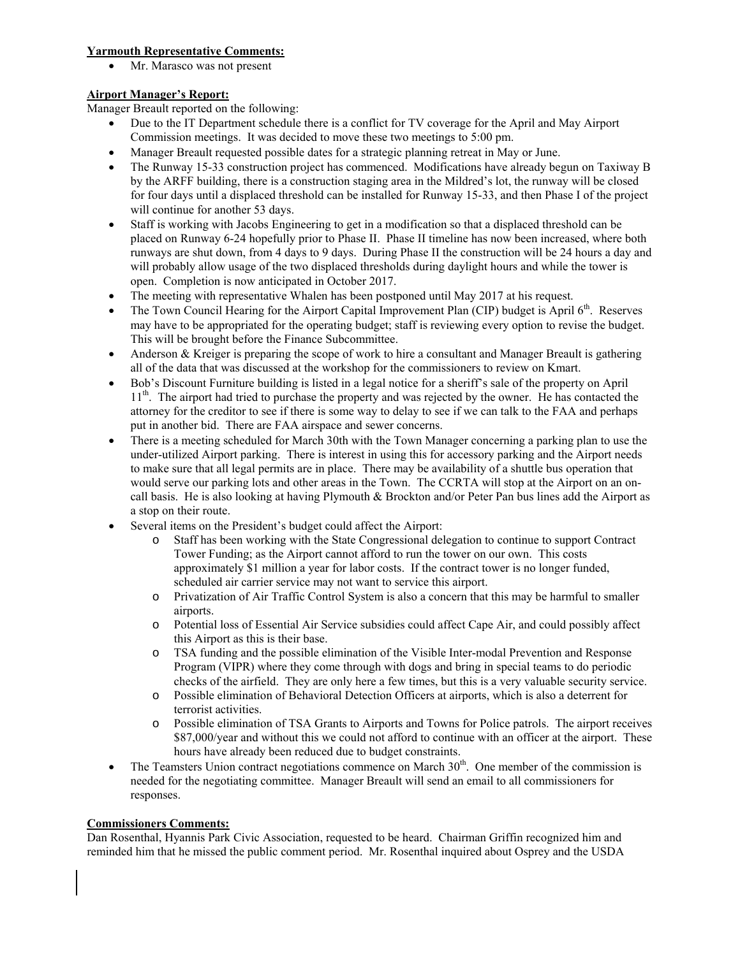#### **Yarmouth Representative Comments:**

• Mr. Marasco was not present

## **Airport Manager's Report:**

Manager Breault reported on the following:

- Due to the IT Department schedule there is a conflict for TV coverage for the April and May Airport Commission meetings. It was decided to move these two meetings to 5:00 pm.
- Manager Breault requested possible dates for a strategic planning retreat in May or June.
- The Runway 15-33 construction project has commenced. Modifications have already begun on Taxiway B by the ARFF building, there is a construction staging area in the Mildred's lot, the runway will be closed for four days until a displaced threshold can be installed for Runway 15-33, and then Phase I of the project will continue for another 53 days.
- Staff is working with Jacobs Engineering to get in a modification so that a displaced threshold can be placed on Runway 6-24 hopefully prior to Phase II. Phase II timeline has now been increased, where both runways are shut down, from 4 days to 9 days. During Phase II the construction will be 24 hours a day and will probably allow usage of the two displaced thresholds during daylight hours and while the tower is open. Completion is now anticipated in October 2017.
- The meeting with representative Whalen has been postponed until May 2017 at his request.
- The Town Council Hearing for the Airport Capital Improvement Plan (CIP) budget is April 6<sup>th</sup>. Reserves may have to be appropriated for the operating budget; staff is reviewing every option to revise the budget. This will be brought before the Finance Subcommittee.
- Anderson & Kreiger is preparing the scope of work to hire a consultant and Manager Breault is gathering all of the data that was discussed at the workshop for the commissioners to review on Kmart.
- Bob's Discount Furniture building is listed in a legal notice for a sheriff's sale of the property on April  $11<sup>th</sup>$ . The airport had tried to purchase the property and was rejected by the owner. He has contacted the attorney for the creditor to see if there is some way to delay to see if we can talk to the FAA and perhaps put in another bid. There are FAA airspace and sewer concerns.
- There is a meeting scheduled for March 30th with the Town Manager concerning a parking plan to use the under-utilized Airport parking. There is interest in using this for accessory parking and the Airport needs to make sure that all legal permits are in place. There may be availability of a shuttle bus operation that would serve our parking lots and other areas in the Town. The CCRTA will stop at the Airport on an oncall basis. He is also looking at having Plymouth & Brockton and/or Peter Pan bus lines add the Airport as a stop on their route.
- Several items on the President's budget could affect the Airport:
	- o Staff has been working with the State Congressional delegation to continue to support Contract Tower Funding; as the Airport cannot afford to run the tower on our own. This costs approximately \$1 million a year for labor costs. If the contract tower is no longer funded, scheduled air carrier service may not want to service this airport.
	- o Privatization of Air Traffic Control System is also a concern that this may be harmful to smaller airports.
	- o Potential loss of Essential Air Service subsidies could affect Cape Air, and could possibly affect this Airport as this is their base.
	- o TSA funding and the possible elimination of the Visible Inter-modal Prevention and Response Program (VIPR) where they come through with dogs and bring in special teams to do periodic checks of the airfield. They are only here a few times, but this is a very valuable security service.
	- o Possible elimination of Behavioral Detection Officers at airports, which is also a deterrent for terrorist activities.
	- o Possible elimination of TSA Grants to Airports and Towns for Police patrols. The airport receives \$87,000/year and without this we could not afford to continue with an officer at the airport. These hours have already been reduced due to budget constraints.
- The Teamsters Union contract negotiations commence on March  $30<sup>th</sup>$ . One member of the commission is needed for the negotiating committee. Manager Breault will send an email to all commissioners for responses.

## **Commissioners Comments:**

Dan Rosenthal, Hyannis Park Civic Association, requested to be heard. Chairman Griffin recognized him and reminded him that he missed the public comment period. Mr. Rosenthal inquired about Osprey and the USDA